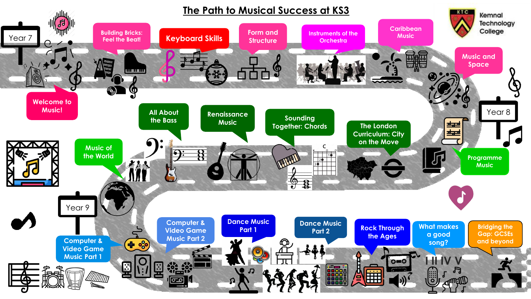